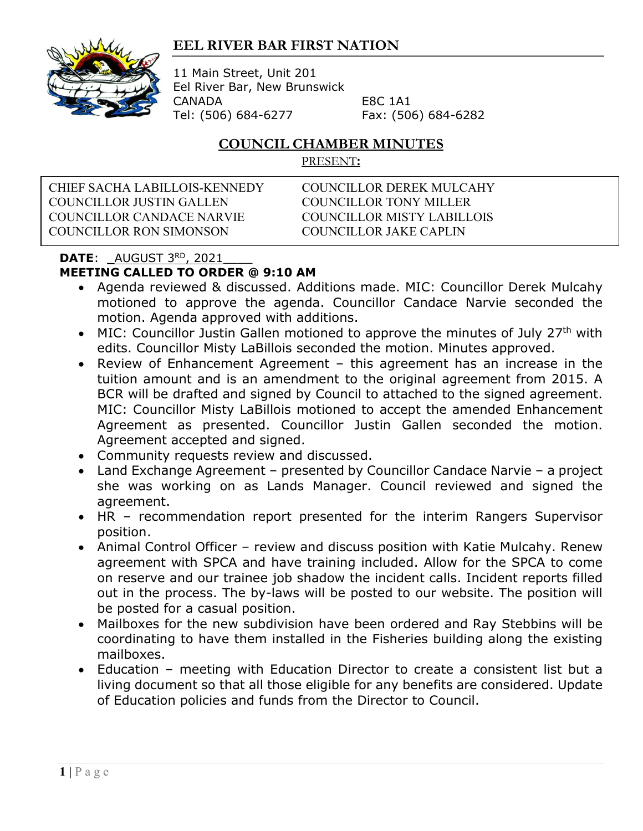## **EEL RIVER BAR FIRST NATION**



11 Main Street, Unit 201 Eel River Bar, New Brunswick CANADA E8C 1A1 Tel: (506) 684-6277 Fax: (506) 684-6282

## **COUNCIL CHAMBER MINUTES**

PRESENT**:**

CHIEF SACHA LABILLOIS-KENNEDY COUNCILLOR DEREK MULCAHY COUNCILLOR JUSTIN GALLEN COUNCILLOR TONY MILLER COUNCILLOR CANDACE NARVIE COUNCILLOR MISTY LABILLOIS COUNCILLOR RON SIMONSON COUNCILLOR JAKE CAPLIN

## **DATE:**  $\underline{\hspace{0.05in} \text{AUGUST} \hspace{0.05in} 3^{\text{RD}}}, \hspace{0.05in} \underline{\hspace{0.05in} 2021}}$

## **MEETING CALLED TO ORDER @ 9:10 AM**

- Agenda reviewed & discussed. Additions made. MIC: Councillor Derek Mulcahy motioned to approve the agenda. Councillor Candace Narvie seconded the motion. Agenda approved with additions.
- MIC: Councillor Justin Gallen motioned to approve the minutes of July 27<sup>th</sup> with edits. Councillor Misty LaBillois seconded the motion. Minutes approved.
- Review of Enhancement Agreement this agreement has an increase in the tuition amount and is an amendment to the original agreement from 2015. A BCR will be drafted and signed by Council to attached to the signed agreement. MIC: Councillor Misty LaBillois motioned to accept the amended Enhancement Agreement as presented. Councillor Justin Gallen seconded the motion. Agreement accepted and signed.
- Community requests review and discussed.
- Land Exchange Agreement presented by Councillor Candace Narvie a project she was working on as Lands Manager. Council reviewed and signed the agreement.
- HR recommendation report presented for the interim Rangers Supervisor position.
- Animal Control Officer review and discuss position with Katie Mulcahy. Renew agreement with SPCA and have training included. Allow for the SPCA to come on reserve and our trainee job shadow the incident calls. Incident reports filled out in the process. The by-laws will be posted to our website. The position will be posted for a casual position.
- Mailboxes for the new subdivision have been ordered and Ray Stebbins will be coordinating to have them installed in the Fisheries building along the existing mailboxes.
- Education meeting with Education Director to create a consistent list but a living document so that all those eligible for any benefits are considered. Update of Education policies and funds from the Director to Council.